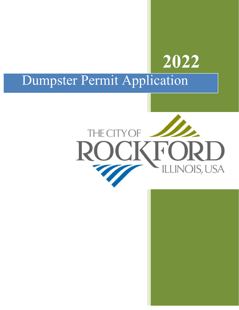## **2022**

## Dumpster Permit Application